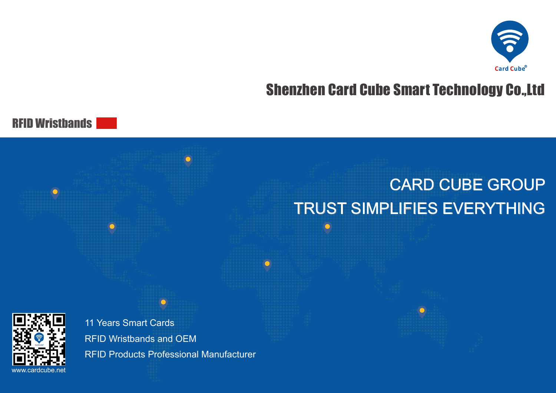

# Shenzhen Card Cube Smart Technology Co.,Ltd

RFID Wristbands

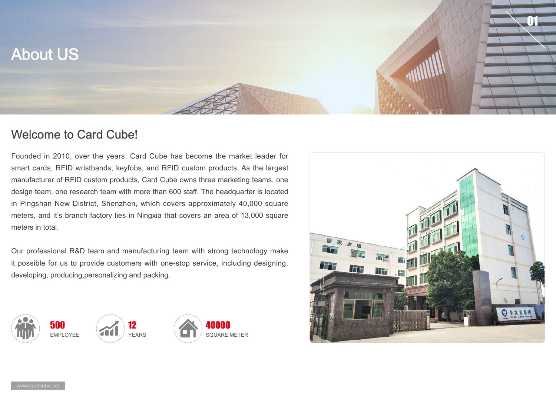

#### Welcome to Card Cube!

Founded in 2010, over the years, Card Cube has become the market leader for smart cards, RFID wristbands, keyfobs, and RFID custom products. As the largest manufacturer of RFID custom products, Card Cube owns three marketing teams, one design team, one research team with more than 600 staff. The headquarter is located in Pingshan New District, Shenzhen, which covers approximately 40,000 square meters, and it's branch factory lies in Ningxia that covers an area of 13,000 square meters in total.

Our professional R&D team and manufacturing team with strong technology make it possible for us to provide customers with one-stop service, including designing, developing, producing,personalizing and packing.





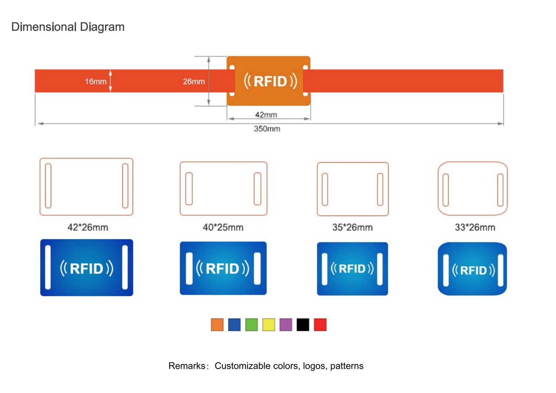### Dimensional Diagram



Remarks: Customizable colors, logos, patterns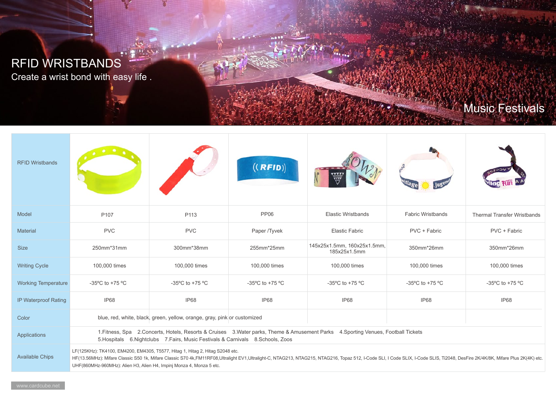# RFID WRISTBANDS

Create a wrist bond with easy life .

 $+1$ 

# Music Festivals

| <b>RFID Wristbands</b>     |                                                                                                                                                                                                                                                                                                                                                                                         |                                      | ((RFID))        |                                             |                                      |                                    |
|----------------------------|-----------------------------------------------------------------------------------------------------------------------------------------------------------------------------------------------------------------------------------------------------------------------------------------------------------------------------------------------------------------------------------------|--------------------------------------|-----------------|---------------------------------------------|--------------------------------------|------------------------------------|
| Model                      | P <sub>107</sub>                                                                                                                                                                                                                                                                                                                                                                        | P113                                 | <b>PP06</b>     | <b>Elastic Wristbands</b>                   | <b>Fabric Wristbands</b>             | <b>Thermal Transfer Wristbands</b> |
| <b>Material</b>            | <b>PVC</b>                                                                                                                                                                                                                                                                                                                                                                              | <b>PVC</b>                           | Paper /Tyvek    | <b>Elastic Fabric</b>                       | PVC + Fabric                         | PVC + Fabric                       |
| <b>Size</b>                | 250mm*31mm                                                                                                                                                                                                                                                                                                                                                                              | 300mm*38mm                           | 255mm*25mm      | 145x25x1.5mm, 160x25x1.5mm,<br>185x25x1.5mm | 350mm*26mm                           | 350mm*26mm                         |
| <b>Writing Cycle</b>       | 100,000 times                                                                                                                                                                                                                                                                                                                                                                           | 100,000 times                        | 100,000 times   | 100,000 times                               | 100,000 times                        | 100,000 times                      |
| <b>Working Temperature</b> | -35°C to +75 °C                                                                                                                                                                                                                                                                                                                                                                         | -35 $^{\circ}$ C to +75 $^{\circ}$ C | -35°C to +75 °C | -35 $^{\circ}$ C to +75 $^{\circ}$ C        | -35 $^{\circ}$ C to +75 $^{\circ}$ C | -35°C to +75 °C                    |
| IP Waterproof Rating       | IP68                                                                                                                                                                                                                                                                                                                                                                                    | IP68                                 | IP68            | IP68                                        | IP68                                 | IP68                               |
| Color                      | blue, red, white, black, green, yellow, orange, gray, pink or customized                                                                                                                                                                                                                                                                                                                |                                      |                 |                                             |                                      |                                    |
| Applications               | 1. Fitness, Spa 2. Concerts, Hotels, Resorts & Cruises 3. Water parks, Theme & Amusement Parks 4. Sporting Venues, Football Tickets<br>5. Hospitals 6. Nightclubs 7. Fairs, Music Festivals & Carnivals 8. Schools, Zoos                                                                                                                                                                |                                      |                 |                                             |                                      |                                    |
| <b>Available Chips</b>     | LF(125KHz): TK4100, EM4200, EM4305, T5577, Hitag 1, Hitag 2, Hitag S2048 etc.<br>HF(13.56MHz): Mifare Classic S50 1k, Mifare Classic S70 4k,FM11RF08,Ultralight EV1,Ultralight-C, NTAG213, NTAG215, NTAG216, Topaz 512, I-Code SLI, I Code SLIX, I-Code SLIS, Ti2048, DesFire 2K/4K/8K, Mifare Plus 2K(4K) etc.<br>UHF(860MHz-960MHz): Alien H3, Alien H4, Impinj Monza 4, Monza 5 etc. |                                      |                 |                                             |                                      |                                    |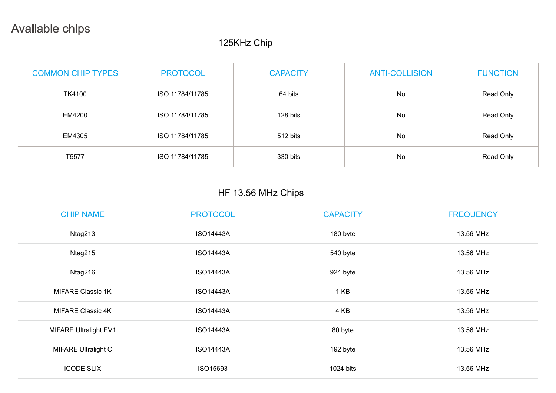## Available chips

#### 125KHz Chip

| <b>COMMON CHIP TYPES</b> | <b>PROTOCOL</b> | <b>CAPACITY</b> | <b>ANTI-COLLISION</b> | <b>FUNCTION</b> |
|--------------------------|-----------------|-----------------|-----------------------|-----------------|
| <b>TK4100</b>            | ISO 11784/11785 | 64 bits         | No                    | Read Only       |
| EM4200                   | ISO 11784/11785 | 128 bits        | No.                   | Read Only       |
| EM4305                   | ISO 11784/11785 | 512 bits        | No                    | Read Only       |
| T5577                    | ISO 11784/11785 | 330 bits        | No                    | Read Only       |

#### HF 13.56 MHz Chips

| <b>CHIP NAME</b>             | <b>PROTOCOL</b>  | <b>CAPACITY</b> | <b>FREQUENCY</b> |
|------------------------------|------------------|-----------------|------------------|
| Ntag213                      | <b>ISO14443A</b> | 180 byte        | 13.56 MHz        |
| Ntag215                      | <b>ISO14443A</b> | 540 byte        | 13.56 MHz        |
| Ntag216                      | <b>ISO14443A</b> | 924 byte        | 13.56 MHz        |
| <b>MIFARE Classic 1K</b>     | <b>ISO14443A</b> | 1 KB            | 13.56 MHz        |
| <b>MIFARE Classic 4K</b>     | <b>ISO14443A</b> | 4 KB            | 13.56 MHz        |
| <b>MIFARE Ultralight EV1</b> | <b>ISO14443A</b> | 80 byte         | 13.56 MHz        |
| <b>MIFARE Ultralight C</b>   | <b>ISO14443A</b> | 192 byte        | 13.56 MHz        |
| <b>ICODE SLIX</b>            | ISO15693         | 1024 bits       | 13.56 MHz        |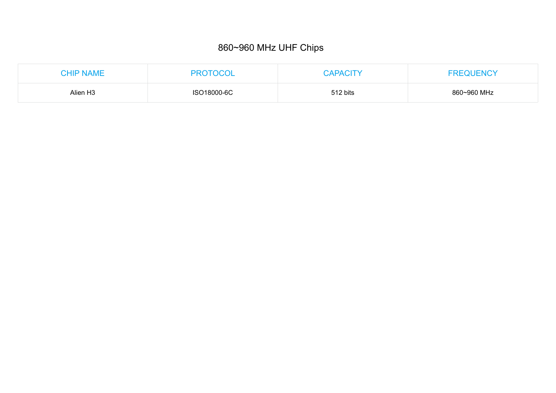#### 860~960 MHz UHF Chips

| <b>CHIP NAME</b>     | <b>PROTOCOL</b> | <b>CAPACITY</b> | <b>FREQUENCY</b> |
|----------------------|-----------------|-----------------|------------------|
| Alien H <sub>3</sub> | ISO18000-6C     | 512 bits        | 860~960 MHz      |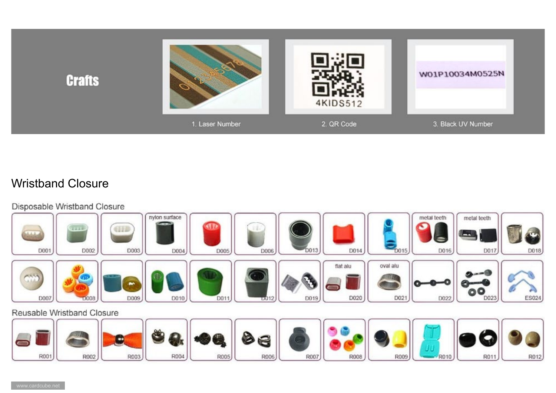

### Wristband Closure

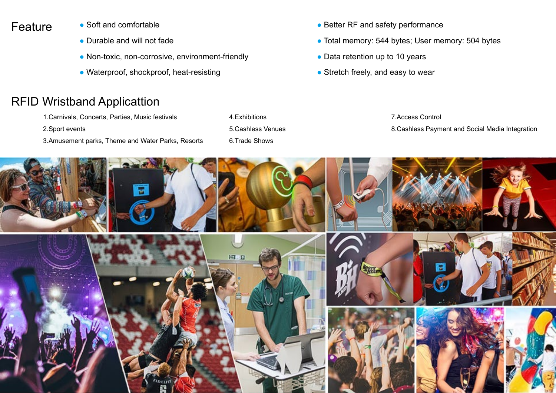### Feature

- Soft and comfortable
- Durable and will not fade
- Non-toxic, non-corrosive, environment-friendly
- Waterproof, shockproof, heat-resisting

## RFID Wristband Applicattion

- 1.Carnivals, Concerts, Parties, Music festivals
- 2.Sport events
- 3.Amusement parks, Theme and Water Parks, Resorts
- 4.Exhibitions 5.Cashless Venues 6.Trade Shows
- Better RF and safety performance
- Total memory: 544 bytes; User memory: 504 bytes
- Data retention up to 10 years
- $\bullet$  Stretch freely, and easy to wear

7.Access Control 8.Cashless Payment and Social Media Integration